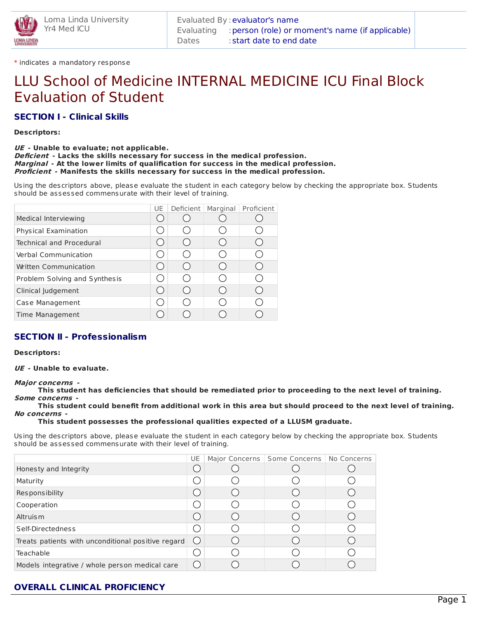

\* indicates a mandatory response

# LLU School of Medicine INTERNAL MEDICINE ICU Final Block Evaluation of Student

## **SECTION I - Clinical Skills**

#### **Descriptors:**

#### **UE - Unable to evaluate; not applicable. Deficient - Lacks the skills necessary for success in the medical profession. Marginal - At the lower limits of qualification for success in the medical profession. Proficient - Manifests the skills necessary for success in the medical profession.**

Using the descriptors above, please evaluate the student in each category below by checking the appropriate box. Students should be assessed commensurate with their level of training.

|                               | UE | Deficient | Marginal | Proficient |
|-------------------------------|----|-----------|----------|------------|
| Medical Interviewing          |    |           |          |            |
| Physical Examination          |    |           |          |            |
| Technical and Procedural      |    |           |          |            |
| Verbal Communication          |    |           |          |            |
| <b>Written Communication</b>  |    |           |          |            |
| Problem Solving and Synthesis |    |           |          |            |
| Clinical Judgement            |    |           |          |            |
| Case Management               |    |           |          |            |
| Time Management               |    |           |          |            |

## **SECTION II - Professionalism**

#### **Descriptors:**

**UE - Unable to evaluate.**

#### **Major concerns -**

This student has deficiencies that should be remediated prior to proceeding to the next level of training. **Some concerns -**

This student could benefit from additional work in this area but should proceed to the next level of training. **No concerns -**

**This student possesses the professional qualities expected of a LLUSM graduate.**

Using the descriptors above, please evaluate the student in each category below by checking the appropriate box. Students should be assessed commensurate with their level of training.

|                                                    | UE. | Major Concerns   Some Concerns   No Concerns |  |
|----------------------------------------------------|-----|----------------------------------------------|--|
| Honesty and Integrity                              |     |                                              |  |
| Maturity                                           |     |                                              |  |
| <b>Responsibility</b>                              |     |                                              |  |
| Cooperation                                        |     |                                              |  |
| Altruis m                                          |     |                                              |  |
| Self-Directedness                                  |     |                                              |  |
| Treats patients with unconditional positive regard |     |                                              |  |
| Teachable                                          |     |                                              |  |
| Models integrative / whole person medical care     |     |                                              |  |

# **OVERALL CLINICAL PROFICIENCY**